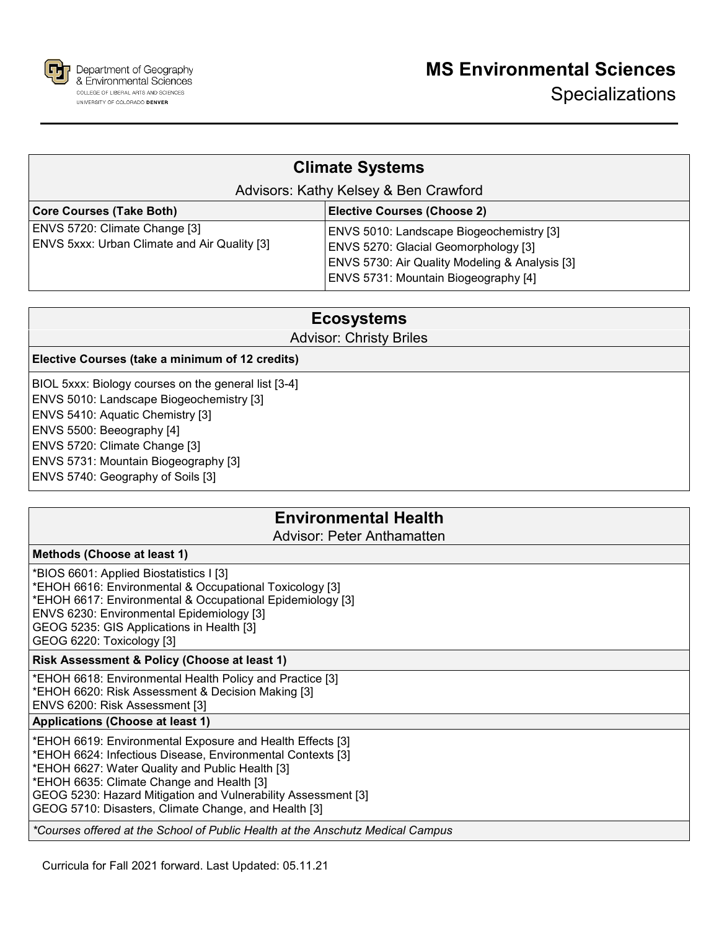

| <b>Climate Systems</b>                                                               |                                                                                                                                                                            |
|--------------------------------------------------------------------------------------|----------------------------------------------------------------------------------------------------------------------------------------------------------------------------|
| Advisors: Kathy Kelsey & Ben Crawford                                                |                                                                                                                                                                            |
| <b>Core Courses (Take Both)</b>                                                      | <b>Elective Courses (Choose 2)</b>                                                                                                                                         |
| ENVS 5720: Climate Change [3]<br><b>ENVS 5xxx: Urban Climate and Air Quality [3]</b> | ENVS 5010: Landscape Biogeochemistry [3]<br>ENVS 5270: Glacial Geomorphology [3]<br>ENVS 5730: Air Quality Modeling & Analysis [3]<br>ENVS 5731: Mountain Biogeography [4] |

| <b>Ecosystems</b><br><b>Advisor: Christy Briles</b>                                                                                                                                                                                                                             |  |  |
|---------------------------------------------------------------------------------------------------------------------------------------------------------------------------------------------------------------------------------------------------------------------------------|--|--|
| Elective Courses (take a minimum of 12 credits)                                                                                                                                                                                                                                 |  |  |
| BIOL 5xxx: Biology courses on the general list [3-4]<br>ENVS 5010: Landscape Biogeochemistry [3]<br>ENVS 5410: Aquatic Chemistry [3]<br>ENVS 5500: Beeography [4]<br>ENVS 5720: Climate Change [3]<br>ENVS 5731: Mountain Biogeography [3]<br>ENVS 5740: Geography of Soils [3] |  |  |

## **Environmental Health**

Advisor: Peter Anthamatten

| , שיושעו היי די היה היה היה ה                                                                                                                                                                                                                                                                                                                    |  |
|--------------------------------------------------------------------------------------------------------------------------------------------------------------------------------------------------------------------------------------------------------------------------------------------------------------------------------------------------|--|
| Methods (Choose at least 1)                                                                                                                                                                                                                                                                                                                      |  |
| *BIOS 6601: Applied Biostatistics I [3]<br>*EHOH 6616: Environmental & Occupational Toxicology [3]<br>*EHOH 6617: Environmental & Occupational Epidemiology [3]<br>ENVS 6230: Environmental Epidemiology [3]<br>GEOG 5235: GIS Applications in Health [3]<br>GEOG 6220: Toxicology [3]                                                           |  |
| Risk Assessment & Policy (Choose at least 1)                                                                                                                                                                                                                                                                                                     |  |
| *EHOH 6618: Environmental Health Policy and Practice [3]<br>*EHOH 6620: Risk Assessment & Decision Making [3]<br>ENVS 6200: Risk Assessment [3]                                                                                                                                                                                                  |  |
| <b>Applications (Choose at least 1)</b>                                                                                                                                                                                                                                                                                                          |  |
| *EHOH 6619: Environmental Exposure and Health Effects [3]<br>*EHOH 6624: Infectious Disease, Environmental Contexts [3]<br>*EHOH 6627: Water Quality and Public Health [3]<br>*EHOH 6635: Climate Change and Health [3]<br>GEOG 5230: Hazard Mitigation and Vulnerability Assessment [3]<br>GEOG 5710: Disasters, Climate Change, and Health [3] |  |
| *Courses offered at the School of Public Health at the Anschutz Medical Campus                                                                                                                                                                                                                                                                   |  |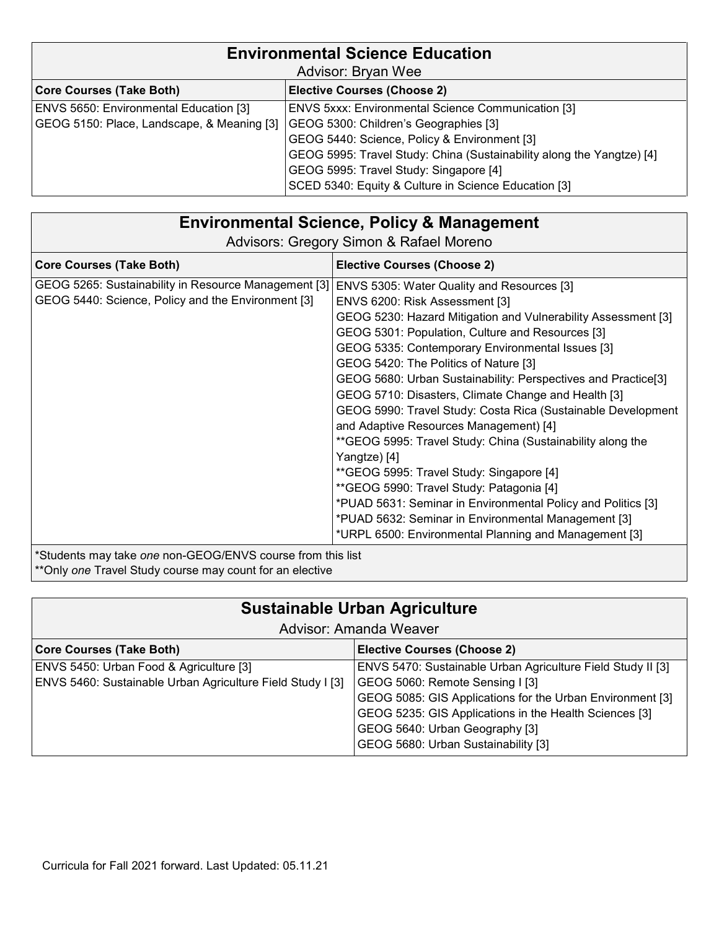| <b>Environmental Science Education</b>     |                                                                       |
|--------------------------------------------|-----------------------------------------------------------------------|
| Advisor: Bryan Wee                         |                                                                       |
| <b>Core Courses (Take Both)</b>            | <b>Elective Courses (Choose 2)</b>                                    |
| ENVS 5650: Environmental Education [3]     | <b>ENVS 5xxx: Environmental Science Communication [3]</b>             |
| GEOG 5150: Place, Landscape, & Meaning [3] | GEOG 5300: Children's Geographies [3]                                 |
|                                            | GEOG 5440: Science, Policy & Environment [3]                          |
|                                            | GEOG 5995: Travel Study: China (Sustainability along the Yangtze) [4] |
|                                            | GEOG 5995: Travel Study: Singapore [4]                                |
|                                            | SCED 5340: Equity & Culture in Science Education [3]                  |

| <b>Environmental Science, Policy &amp; Management</b><br>Advisors: Gregory Simon & Rafael Moreno                        |                                                                                                                                                                                                                                                                                                                                                                                                                                                                                                                                                                                                                                                                                                                                                                                                                                                                                         |
|-------------------------------------------------------------------------------------------------------------------------|-----------------------------------------------------------------------------------------------------------------------------------------------------------------------------------------------------------------------------------------------------------------------------------------------------------------------------------------------------------------------------------------------------------------------------------------------------------------------------------------------------------------------------------------------------------------------------------------------------------------------------------------------------------------------------------------------------------------------------------------------------------------------------------------------------------------------------------------------------------------------------------------|
| <b>Core Courses (Take Both)</b>                                                                                         | <b>Elective Courses (Choose 2)</b>                                                                                                                                                                                                                                                                                                                                                                                                                                                                                                                                                                                                                                                                                                                                                                                                                                                      |
| GEOG 5265: Sustainability in Resource Management [3]<br>GEOG 5440: Science, Policy and the Environment [3]              | ENVS 5305: Water Quality and Resources [3]<br>ENVS 6200: Risk Assessment [3]<br>GEOG 5230: Hazard Mitigation and Vulnerability Assessment [3]<br>GEOG 5301: Population, Culture and Resources [3]<br>GEOG 5335: Contemporary Environmental Issues [3]<br>GEOG 5420: The Politics of Nature [3]<br>GEOG 5680: Urban Sustainability: Perspectives and Practice[3]<br>GEOG 5710: Disasters, Climate Change and Health [3]<br>GEOG 5990: Travel Study: Costa Rica (Sustainable Development<br>and Adaptive Resources Management) [4]<br>** GEOG 5995: Travel Study: China (Sustainability along the<br>Yangtze) [4]<br>**GEOG 5995: Travel Study: Singapore [4]<br>**GEOG 5990: Travel Study: Patagonia [4]<br>*PUAD 5631: Seminar in Environmental Policy and Politics [3]<br>*PUAD 5632: Seminar in Environmental Management [3]<br>*URPL 6500: Environmental Planning and Management [3] |
| *Students may take one non-GEOG/ENVS course from this list<br>** Only one Travel Study course may count for an elective |                                                                                                                                                                                                                                                                                                                                                                                                                                                                                                                                                                                                                                                                                                                                                                                                                                                                                         |

| <b>Sustainable Urban Agriculture</b>                                                                  |                                                                                                                                                                                                                                                                                                |
|-------------------------------------------------------------------------------------------------------|------------------------------------------------------------------------------------------------------------------------------------------------------------------------------------------------------------------------------------------------------------------------------------------------|
| Advisor: Amanda Weaver                                                                                |                                                                                                                                                                                                                                                                                                |
| <b>Core Courses (Take Both)</b>                                                                       | <b>Elective Courses (Choose 2)</b>                                                                                                                                                                                                                                                             |
| ENVS 5450: Urban Food & Agriculture [3]<br>ENVS 5460: Sustainable Urban Agriculture Field Study I [3] | ENVS 5470: Sustainable Urban Agriculture Field Study II [3]<br>GEOG 5060: Remote Sensing I [3]<br>GEOG 5085: GIS Applications for the Urban Environment [3]<br>GEOG 5235: GIS Applications in the Health Sciences [3]<br>GEOG 5640: Urban Geography [3]<br>GEOG 5680: Urban Sustainability [3] |